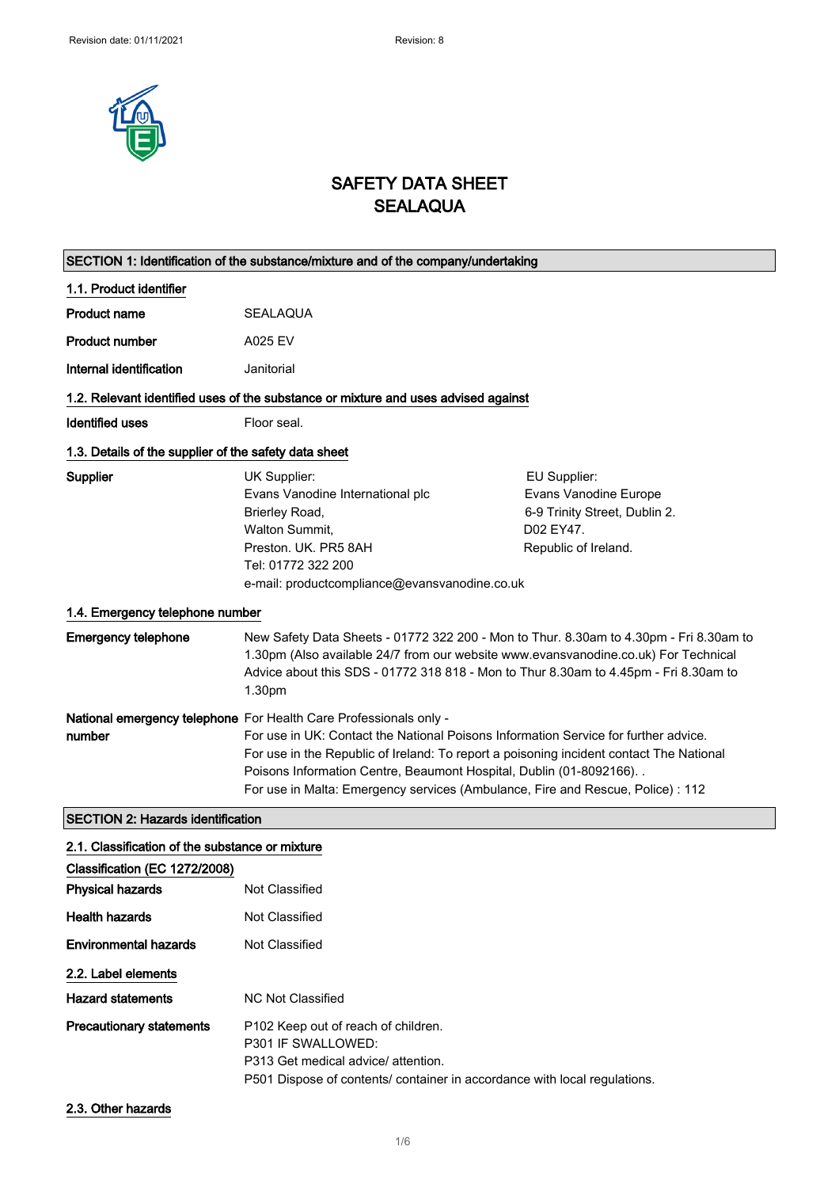

# SAFETY DATA SHEET **SEALAQUA**

|                                                       | SECTION 1: Identification of the substance/mixture and of the company/undertaking                                                                                                                                                                                                                                                                                                                               |                                                                                                             |
|-------------------------------------------------------|-----------------------------------------------------------------------------------------------------------------------------------------------------------------------------------------------------------------------------------------------------------------------------------------------------------------------------------------------------------------------------------------------------------------|-------------------------------------------------------------------------------------------------------------|
| 1.1. Product identifier                               |                                                                                                                                                                                                                                                                                                                                                                                                                 |                                                                                                             |
| <b>Product name</b>                                   | SEALAQUA                                                                                                                                                                                                                                                                                                                                                                                                        |                                                                                                             |
| <b>Product number</b>                                 | A025 EV                                                                                                                                                                                                                                                                                                                                                                                                         |                                                                                                             |
| Internal identification                               | Janitorial                                                                                                                                                                                                                                                                                                                                                                                                      |                                                                                                             |
|                                                       | 1.2. Relevant identified uses of the substance or mixture and uses advised against                                                                                                                                                                                                                                                                                                                              |                                                                                                             |
| <b>Identified uses</b>                                | Floor seal.                                                                                                                                                                                                                                                                                                                                                                                                     |                                                                                                             |
| 1.3. Details of the supplier of the safety data sheet |                                                                                                                                                                                                                                                                                                                                                                                                                 |                                                                                                             |
| Supplier                                              | UK Supplier:<br>Evans Vanodine International plc<br>Brierley Road,<br><b>Walton Summit,</b><br>Preston, UK. PR5 8AH<br>Tel: 01772 322 200<br>e-mail: productcompliance@evansvanodine.co.uk                                                                                                                                                                                                                      | EU Supplier:<br>Evans Vanodine Europe<br>6-9 Trinity Street, Dublin 2.<br>D02 EY47.<br>Republic of Ireland. |
| 1.4. Emergency telephone number                       |                                                                                                                                                                                                                                                                                                                                                                                                                 |                                                                                                             |
| <b>Emergency telephone</b>                            | New Safety Data Sheets - 01772 322 200 - Mon to Thur. 8.30am to 4.30pm - Fri 8.30am to<br>1.30pm (Also available 24/7 from our website www.evansvanodine.co.uk) For Technical<br>Advice about this SDS - 01772 318 818 - Mon to Thur 8.30am to 4.45pm - Fri 8.30am to<br>1.30pm                                                                                                                                 |                                                                                                             |
| number                                                | National emergency telephone For Health Care Professionals only -<br>For use in UK: Contact the National Poisons Information Service for further advice.<br>For use in the Republic of Ireland: To report a poisoning incident contact The National<br>Poisons Information Centre, Beaumont Hospital, Dublin (01-8092166). .<br>For use in Malta: Emergency services (Ambulance, Fire and Rescue, Police) : 112 |                                                                                                             |
| <b>SECTION 2: Hazards identification</b>              |                                                                                                                                                                                                                                                                                                                                                                                                                 |                                                                                                             |
| 2.1. Classification of the substance or mixture       |                                                                                                                                                                                                                                                                                                                                                                                                                 |                                                                                                             |
| Classification (EC 1272/2008)                         |                                                                                                                                                                                                                                                                                                                                                                                                                 |                                                                                                             |
| <b>Physical hazards</b>                               | Not Classified                                                                                                                                                                                                                                                                                                                                                                                                  |                                                                                                             |
| <b>Health hazards</b>                                 | Not Classified                                                                                                                                                                                                                                                                                                                                                                                                  |                                                                                                             |
| <b>Environmental hazards</b>                          | Not Classified                                                                                                                                                                                                                                                                                                                                                                                                  |                                                                                                             |
| 2.2. Label elements                                   |                                                                                                                                                                                                                                                                                                                                                                                                                 |                                                                                                             |
| <b>Hazard statements</b>                              | <b>NC Not Classified</b>                                                                                                                                                                                                                                                                                                                                                                                        |                                                                                                             |
| <b>Precautionary statements</b>                       | P102 Keep out of reach of children.<br>P301 IF SWALLOWED:<br>P313 Get medical advice/ attention.<br>P501 Dispose of contents/ container in accordance with local regulations.                                                                                                                                                                                                                                   |                                                                                                             |

2.3. Other hazards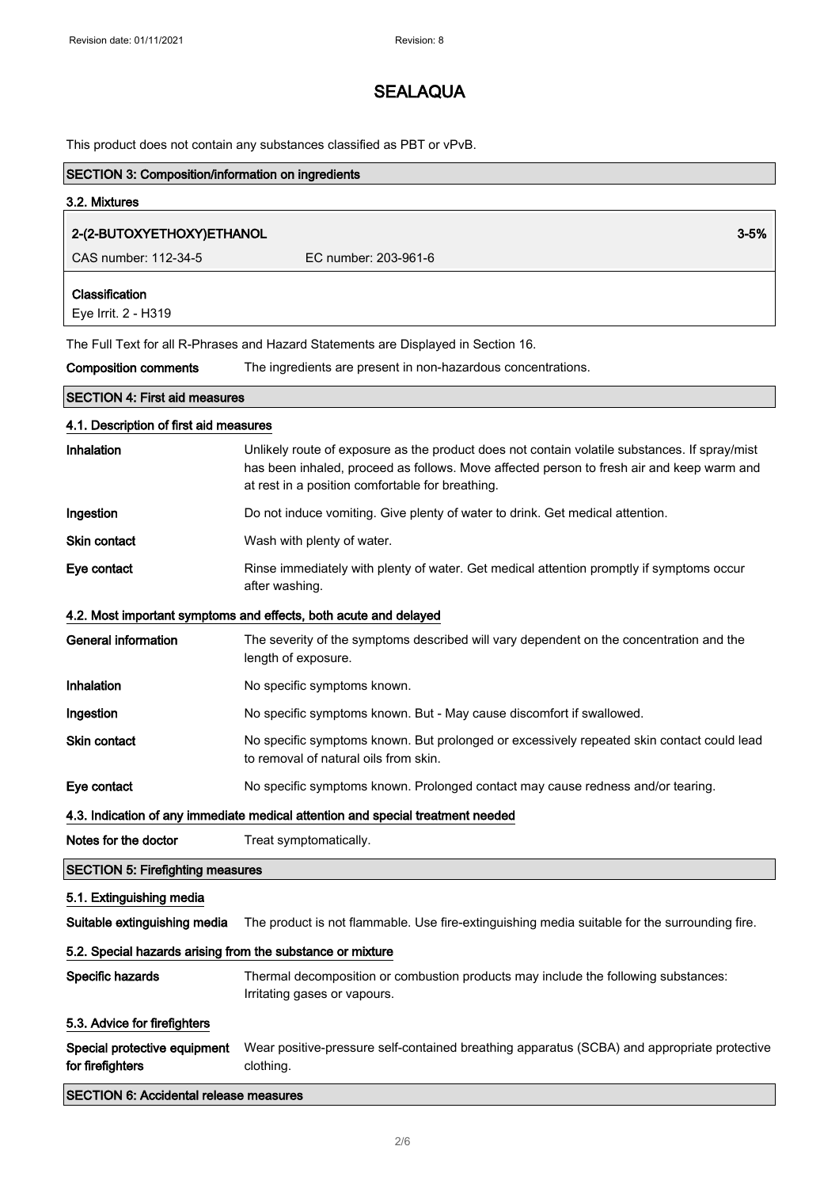This product does not contain any substances classified as PBT or vPvB.

| <b>SECTION 3: Composition/information on ingredients</b> |                                                                                                                                                                                                                                                |  |
|----------------------------------------------------------|------------------------------------------------------------------------------------------------------------------------------------------------------------------------------------------------------------------------------------------------|--|
| 3.2. Mixtures                                            |                                                                                                                                                                                                                                                |  |
| 2-(2-BUTOXYETHOXY)ETHANOL                                | $3 - 5%$                                                                                                                                                                                                                                       |  |
| CAS number: 112-34-5                                     | EC number: 203-961-6                                                                                                                                                                                                                           |  |
| Classification<br>Eye Irrit. 2 - H319                    |                                                                                                                                                                                                                                                |  |
|                                                          | The Full Text for all R-Phrases and Hazard Statements are Displayed in Section 16.                                                                                                                                                             |  |
| <b>Composition comments</b>                              | The ingredients are present in non-hazardous concentrations.                                                                                                                                                                                   |  |
| <b>SECTION 4: First aid measures</b>                     |                                                                                                                                                                                                                                                |  |
| 4.1. Description of first aid measures                   |                                                                                                                                                                                                                                                |  |
| Inhalation                                               | Unlikely route of exposure as the product does not contain volatile substances. If spray/mist<br>has been inhaled, proceed as follows. Move affected person to fresh air and keep warm and<br>at rest in a position comfortable for breathing. |  |
| Ingestion                                                | Do not induce vomiting. Give plenty of water to drink. Get medical attention.                                                                                                                                                                  |  |
| Skin contact                                             | Wash with plenty of water.                                                                                                                                                                                                                     |  |
| Eye contact                                              | Rinse immediately with plenty of water. Get medical attention promptly if symptoms occur<br>after washing.                                                                                                                                     |  |
|                                                          | 4.2. Most important symptoms and effects, both acute and delayed                                                                                                                                                                               |  |
| <b>General information</b>                               | The severity of the symptoms described will vary dependent on the concentration and the<br>length of exposure.                                                                                                                                 |  |
| Inhalation                                               | No specific symptoms known.                                                                                                                                                                                                                    |  |
| Ingestion                                                | No specific symptoms known. But - May cause discomfort if swallowed.                                                                                                                                                                           |  |
| Skin contact                                             | No specific symptoms known. But prolonged or excessively repeated skin contact could lead<br>to removal of natural oils from skin.                                                                                                             |  |
| Eye contact                                              | No specific symptoms known. Prolonged contact may cause redness and/or tearing.                                                                                                                                                                |  |
|                                                          | 4.3. Indication of any immediate medical attention and special treatment needed                                                                                                                                                                |  |
| Notes for the doctor                                     | Treat symptomatically.                                                                                                                                                                                                                         |  |
| <b>SECTION 5: Firefighting measures</b>                  |                                                                                                                                                                                                                                                |  |
| 5.1. Extinguishing media                                 |                                                                                                                                                                                                                                                |  |
| Suitable extinguishing media                             | The product is not flammable. Use fire-extinguishing media suitable for the surrounding fire.                                                                                                                                                  |  |
|                                                          | 5.2. Special hazards arising from the substance or mixture                                                                                                                                                                                     |  |
| Specific hazards                                         | Thermal decomposition or combustion products may include the following substances:<br>Irritating gases or vapours.                                                                                                                             |  |
| 5.3. Advice for firefighters                             |                                                                                                                                                                                                                                                |  |
| Special protective equipment<br>for firefighters         | Wear positive-pressure self-contained breathing apparatus (SCBA) and appropriate protective<br>clothing.                                                                                                                                       |  |
| <b>SECTION 6: Accidental release measures</b>            |                                                                                                                                                                                                                                                |  |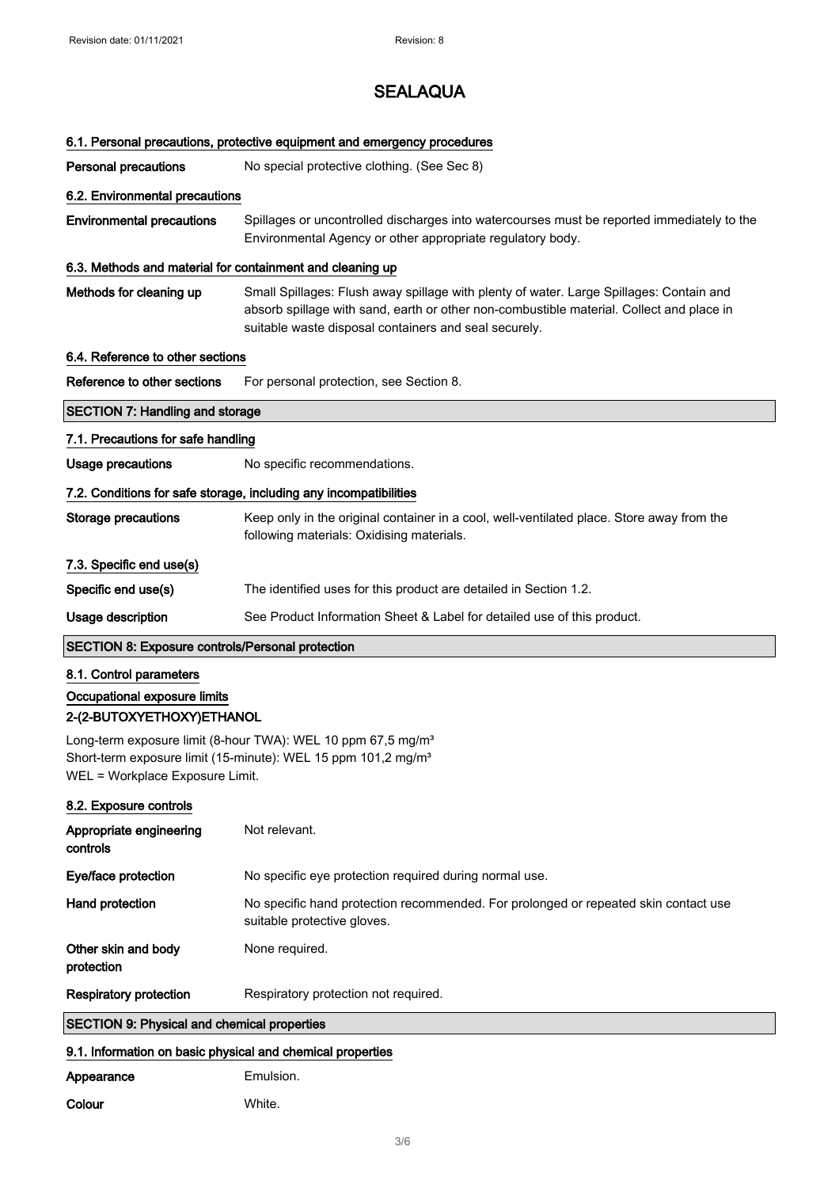### 6.1. Personal precautions, protective equipment and emergency procedures

**Personal precautions** No special protective clothing. (See Sec 8)

### 6.2. Environmental precautions

Environmental precautions Spillages or uncontrolled discharges into watercourses must be reported immediately to the Environmental Agency or other appropriate regulatory body.

#### 6.3. Methods and material for containment and cleaning up

Methods for cleaning up Small Spillages: Flush away spillage with plenty of water. Large Spillages: Contain and absorb spillage with sand, earth or other non-combustible material. Collect and place in suitable waste disposal containers and seal securely.

#### 6.4. Reference to other sections

Reference to other sections For personal protection, see Section 8.

### SECTION 7: Handling and storage

### 7.1. Precautions for safe handling

Usage precautions Mo specific recommendations.

#### 7.2. Conditions for safe storage, including any incompatibilities

| Storage precautions      | Keep only in the original container in a cool, well-ventilated place. Store away from the<br>following materials: Oxidising materials. |
|--------------------------|----------------------------------------------------------------------------------------------------------------------------------------|
| 7.3. Specific end use(s) |                                                                                                                                        |
| Specific end use(s)      | The identified uses for this product are detailed in Section 1.2.                                                                      |

### Usage description See Product Information Sheet & Label for detailed use of this product.

### SECTION 8: Exposure controls/Personal protection

#### 8.1. Control parameters

## Occupational exposure limits 2-(2-BUTOXYETHOXY)ETHANOL

Long-term exposure limit (8-hour TWA): WEL 10 ppm 67,5 mg/m<sup>3</sup> Short-term exposure limit (15-minute): WEL 15 ppm 101,2 mg/m<sup>3</sup> WEL = Workplace Exposure Limit.

#### 8.2. Exposure controls

| Appropriate engineering<br>controls                | Not relevant.                                                                                                      |
|----------------------------------------------------|--------------------------------------------------------------------------------------------------------------------|
| Eye/face protection                                | No specific eye protection required during normal use.                                                             |
| Hand protection                                    | No specific hand protection recommended. For prolonged or repeated skin contact use<br>suitable protective gloves. |
| Other skin and body<br>protection                  | None required.                                                                                                     |
| <b>Respiratory protection</b>                      | Respiratory protection not required.                                                                               |
| <b>SECTION 9: Physical and chemical properties</b> |                                                                                                                    |

#### 9.1. Information on basic physical and chemical properties

| Appearance | Emulsion. |
|------------|-----------|
| Colour     | White.    |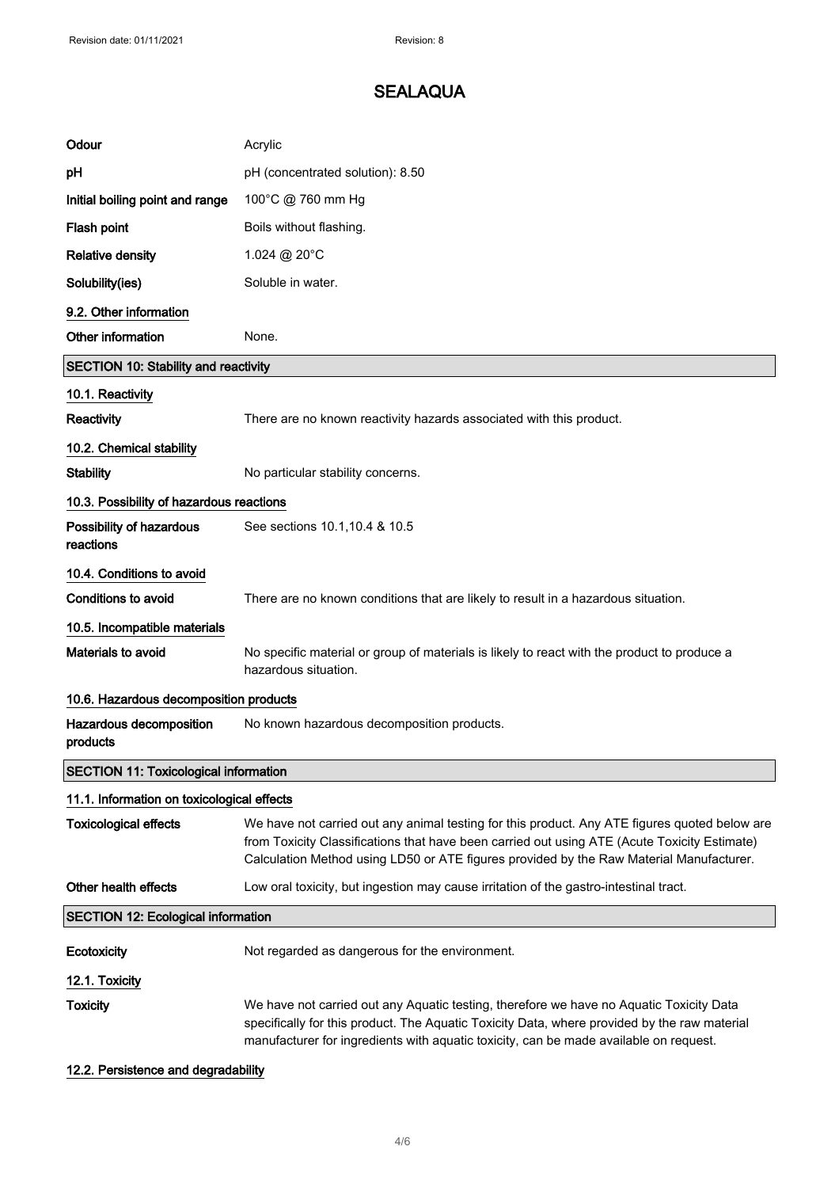| Odour                                        | Acrylic                                                                                                                                                                                                                                                                                  |
|----------------------------------------------|------------------------------------------------------------------------------------------------------------------------------------------------------------------------------------------------------------------------------------------------------------------------------------------|
| рH                                           | pH (concentrated solution): 8.50                                                                                                                                                                                                                                                         |
| Initial boiling point and range              | 100°C @ 760 mm Hg                                                                                                                                                                                                                                                                        |
| Flash point                                  | Boils without flashing.                                                                                                                                                                                                                                                                  |
| <b>Relative density</b>                      | 1.024 @ 20°C                                                                                                                                                                                                                                                                             |
| Solubility(ies)                              | Soluble in water.                                                                                                                                                                                                                                                                        |
| 9.2. Other information                       |                                                                                                                                                                                                                                                                                          |
| Other information                            | None.                                                                                                                                                                                                                                                                                    |
| <b>SECTION 10: Stability and reactivity</b>  |                                                                                                                                                                                                                                                                                          |
| 10.1. Reactivity                             |                                                                                                                                                                                                                                                                                          |
| Reactivity                                   | There are no known reactivity hazards associated with this product.                                                                                                                                                                                                                      |
| 10.2. Chemical stability                     |                                                                                                                                                                                                                                                                                          |
| <b>Stability</b>                             | No particular stability concerns.                                                                                                                                                                                                                                                        |
| 10.3. Possibility of hazardous reactions     |                                                                                                                                                                                                                                                                                          |
| Possibility of hazardous<br>reactions        | See sections 10.1, 10.4 & 10.5                                                                                                                                                                                                                                                           |
| 10.4. Conditions to avoid                    |                                                                                                                                                                                                                                                                                          |
| Conditions to avoid                          | There are no known conditions that are likely to result in a hazardous situation.                                                                                                                                                                                                        |
| 10.5. Incompatible materials                 |                                                                                                                                                                                                                                                                                          |
| <b>Materials to avoid</b>                    | No specific material or group of materials is likely to react with the product to produce a<br>hazardous situation.                                                                                                                                                                      |
| 10.6. Hazardous decomposition products       |                                                                                                                                                                                                                                                                                          |
| Hazardous decomposition<br>products          | No known hazardous decomposition products.                                                                                                                                                                                                                                               |
| <b>SECTION 11: Toxicological information</b> |                                                                                                                                                                                                                                                                                          |
| 11.1. Information on toxicological effects   |                                                                                                                                                                                                                                                                                          |
| <b>Toxicological effects</b>                 | We have not carried out any animal testing for this product. Any ATE figures quoted below are<br>from Toxicity Classifications that have been carried out using ATE (Acute Toxicity Estimate)<br>Calculation Method using LD50 or ATE figures provided by the Raw Material Manufacturer. |
| Other health effects                         | Low oral toxicity, but ingestion may cause irritation of the gastro-intestinal tract.                                                                                                                                                                                                    |
| <b>SECTION 12: Ecological information</b>    |                                                                                                                                                                                                                                                                                          |
| Ecotoxicity                                  | Not regarded as dangerous for the environment.                                                                                                                                                                                                                                           |
| 12.1. Toxicity                               |                                                                                                                                                                                                                                                                                          |
| <b>Toxicity</b>                              | We have not carried out any Aquatic testing, therefore we have no Aquatic Toxicity Data<br>specifically for this product. The Aquatic Toxicity Data, where provided by the raw material<br>manufacturer for ingredients with aquatic toxicity, can be made available on request.         |

### 12.2. Persistence and degradability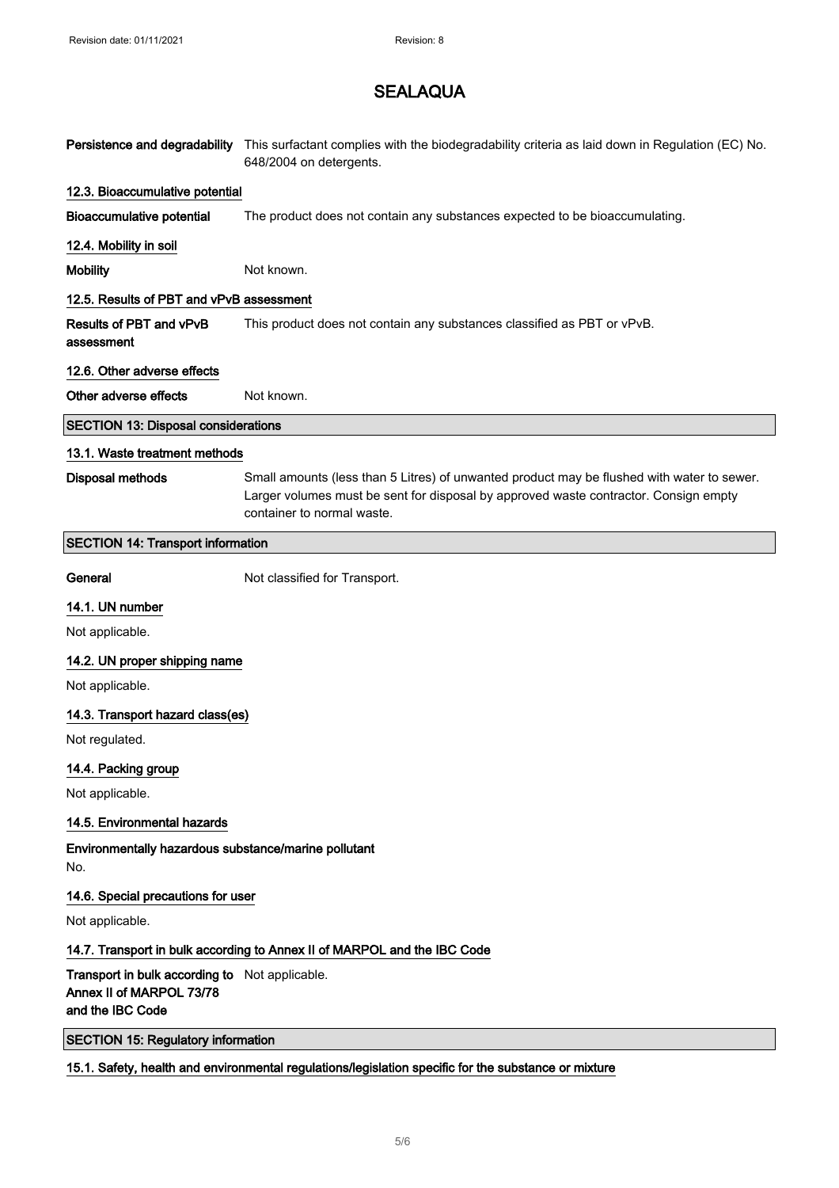| Persistence and degradability                                                                  | This surfactant complies with the biodegradability criteria as laid down in Regulation (EC) No.<br>648/2004 on detergents.                                                                                       |
|------------------------------------------------------------------------------------------------|------------------------------------------------------------------------------------------------------------------------------------------------------------------------------------------------------------------|
| 12.3. Bioaccumulative potential                                                                |                                                                                                                                                                                                                  |
| <b>Bioaccumulative potential</b>                                                               | The product does not contain any substances expected to be bioaccumulating.                                                                                                                                      |
| 12.4. Mobility in soil                                                                         |                                                                                                                                                                                                                  |
| <b>Mobility</b>                                                                                | Not known.                                                                                                                                                                                                       |
| 12.5. Results of PBT and vPvB assessment                                                       |                                                                                                                                                                                                                  |
| Results of PBT and vPvB<br>assessment                                                          | This product does not contain any substances classified as PBT or vPvB.                                                                                                                                          |
| 12.6. Other adverse effects                                                                    |                                                                                                                                                                                                                  |
| Other adverse effects                                                                          | Not known.                                                                                                                                                                                                       |
| <b>SECTION 13: Disposal considerations</b>                                                     |                                                                                                                                                                                                                  |
| 13.1. Waste treatment methods                                                                  |                                                                                                                                                                                                                  |
| Disposal methods                                                                               | Small amounts (less than 5 Litres) of unwanted product may be flushed with water to sewer.<br>Larger volumes must be sent for disposal by approved waste contractor. Consign empty<br>container to normal waste. |
| <b>SECTION 14: Transport information</b>                                                       |                                                                                                                                                                                                                  |
| General                                                                                        | Not classified for Transport.                                                                                                                                                                                    |
| 14.1. UN number                                                                                |                                                                                                                                                                                                                  |
| Not applicable.                                                                                |                                                                                                                                                                                                                  |
| 14.2. UN proper shipping name                                                                  |                                                                                                                                                                                                                  |
| Not applicable.                                                                                |                                                                                                                                                                                                                  |
| 14.3. Transport hazard class(es)                                                               |                                                                                                                                                                                                                  |
| Not regulated.                                                                                 |                                                                                                                                                                                                                  |
| 14.4. Packing group<br>Not applicable.                                                         |                                                                                                                                                                                                                  |
|                                                                                                |                                                                                                                                                                                                                  |
| 14.5. Environmental hazards                                                                    |                                                                                                                                                                                                                  |
| Environmentally hazardous substance/marine pollutant<br>No.                                    |                                                                                                                                                                                                                  |
| 14.6. Special precautions for user                                                             |                                                                                                                                                                                                                  |
| Not applicable.                                                                                |                                                                                                                                                                                                                  |
|                                                                                                | 14.7. Transport in bulk according to Annex II of MARPOL and the IBC Code                                                                                                                                         |
| Transport in bulk according to Not applicable.<br>Annex II of MARPOL 73/78<br>and the IBC Code |                                                                                                                                                                                                                  |
| <b>SECTION 15: Regulatory information</b>                                                      |                                                                                                                                                                                                                  |
|                                                                                                | 15.1. Safety, health and environmental regulations/legislation specific for the substance or mixture                                                                                                             |